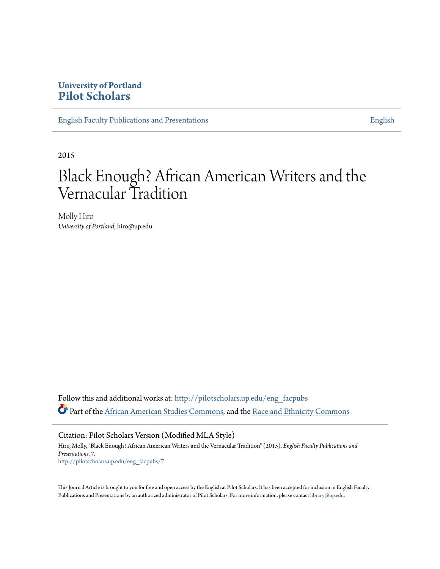## **University of Portland [Pilot Scholars](http://pilotscholars.up.edu?utm_source=pilotscholars.up.edu%2Feng_facpubs%2F7&utm_medium=PDF&utm_campaign=PDFCoverPages)**

[English Faculty Publications and Presentations](http://pilotscholars.up.edu/eng_facpubs?utm_source=pilotscholars.up.edu%2Feng_facpubs%2F7&utm_medium=PDF&utm_campaign=PDFCoverPages) [English](http://pilotscholars.up.edu/eng?utm_source=pilotscholars.up.edu%2Feng_facpubs%2F7&utm_medium=PDF&utm_campaign=PDFCoverPages)

2015

## Black Enough? African American Writers and the Vernacular Tradition

Molly Hiro *University of Portland*, hiro@up.edu

Follow this and additional works at: [http://pilotscholars.up.edu/eng\\_facpubs](http://pilotscholars.up.edu/eng_facpubs?utm_source=pilotscholars.up.edu%2Feng_facpubs%2F7&utm_medium=PDF&utm_campaign=PDFCoverPages) Part of the [African American Studies Commons,](http://network.bepress.com/hgg/discipline/567?utm_source=pilotscholars.up.edu%2Feng_facpubs%2F7&utm_medium=PDF&utm_campaign=PDFCoverPages) and the [Race and Ethnicity Commons](http://network.bepress.com/hgg/discipline/426?utm_source=pilotscholars.up.edu%2Feng_facpubs%2F7&utm_medium=PDF&utm_campaign=PDFCoverPages)

Citation: Pilot Scholars Version (Modified MLA Style) Hiro, Molly, "Black Enough? African American Writers and the Vernacular Tradition" (2015). *English Faculty Publications and Presentations*. 7. [http://pilotscholars.up.edu/eng\\_facpubs/7](http://pilotscholars.up.edu/eng_facpubs/7?utm_source=pilotscholars.up.edu%2Feng_facpubs%2F7&utm_medium=PDF&utm_campaign=PDFCoverPages)

This Journal Article is brought to you for free and open access by the English at Pilot Scholars. It has been accepted for inclusion in English Faculty Publications and Presentations by an authorized administrator of Pilot Scholars. For more information, please contact [library@up.edu](mailto:library@up.edu).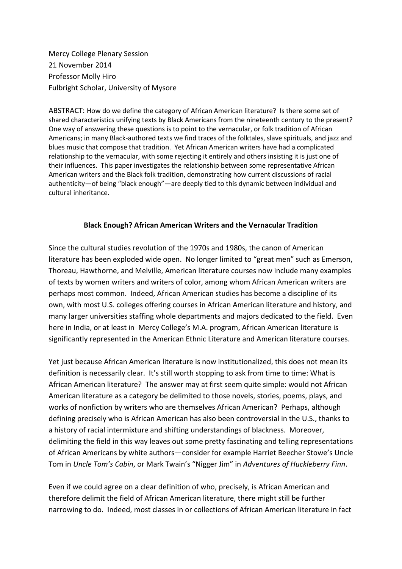Mercy College Plenary Session 21 November 2014 Professor Molly Hiro Fulbright Scholar, University of Mysore

ABSTRACT: How do we define the category of African American literature? Is there some set of shared characteristics unifying texts by Black Americans from the nineteenth century to the present? One way of answering these questions is to point to the vernacular, or folk tradition of African Americans; in many Black-authored texts we find traces of the folktales, slave spirituals, and jazz and blues music that compose that tradition. Yet African American writers have had a complicated relationship to the vernacular, with some rejecting it entirely and others insisting it is just one of their influences. This paper investigates the relationship between some representative African American writers and the Black folk tradition, demonstrating how current discussions of racial authenticity—of being "black enough"—are deeply tied to this dynamic between individual and cultural inheritance.

## **Black Enough? African American Writers and the Vernacular Tradition**

Since the cultural studies revolution of the 1970s and 1980s, the canon of American literature has been exploded wide open. No longer limited to "great men" such as Emerson, Thoreau, Hawthorne, and Melville, American literature courses now include many examples of texts by women writers and writers of color, among whom African American writers are perhaps most common. Indeed, African American studies has become a discipline of its own, with most U.S. colleges offering courses in African American literature and history, and many larger universities staffing whole departments and majors dedicated to the field. Even here in India, or at least in Mercy College's M.A. program, African American literature is significantly represented in the American Ethnic Literature and American literature courses.

Yet just because African American literature is now institutionalized, this does not mean its definition is necessarily clear. It's still worth stopping to ask from time to time: What is African American literature? The answer may at first seem quite simple: would not African American literature as a category be delimited to those novels, stories, poems, plays, and works of nonfiction by writers who are themselves African American? Perhaps, although defining precisely who is African American has also been controversial in the U.S., thanks to a history of racial intermixture and shifting understandings of blackness. Moreover, delimiting the field in this way leaves out some pretty fascinating and telling representations of African Americans by white authors—consider for example Harriet Beecher Stowe's Uncle Tom in *Uncle Tom's Cabin*, or Mark Twain's "Nigger Jim" in *Adventures of Huckleberry Finn*.

Even if we could agree on a clear definition of who, precisely, is African American and therefore delimit the field of African American literature, there might still be further narrowing to do. Indeed, most classes in or collections of African American literature in fact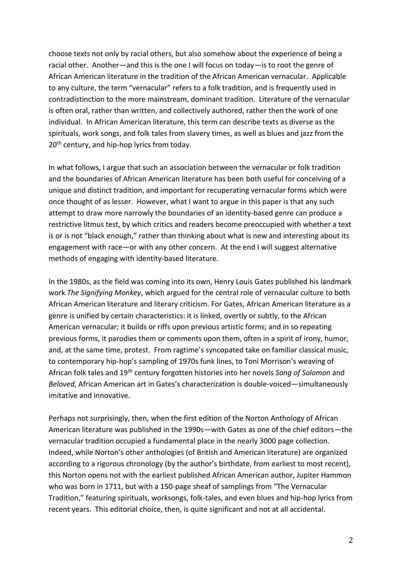choose texts not only by racial others, but also somehow about the experience of being a racial other. Another—and this is the one I will focus on today—is to root the genre of African American literature in the tradition of the African American vernacular. Applicable to any culture, the term "vernacular" refers to a folk tradition, and is frequently used in contradistinction to the more mainstream, dominant tradition. Literature of the vernacular is often oral, rather than written, and collectively authored, rather then the work of one individual. In African American literature, this term can describe texts as diverse as the spirituals, work songs, and folk tales from slavery times, as well as blues and jazz from the 20<sup>th</sup> century, and hip-hop lyrics from today.

In what follows, I argue that such an association between the vernacular or folk tradition and the boundaries of African American literature has been both useful for conceiving of a unique and distinct tradition, and important for recuperating vernacular forms which were once thought of as lesser. However, what I want to argue in this paper is that any such attempt to draw more narrowly the boundaries of an identity-based genre can produce a restrictive litmus test, by which critics and readers become preoccupied with whether a text is or is not "black enough," rather than thinking about what is new and interesting about its engagement with race—or with any other concern. At the end I will suggest alternative methods of engaging with identity-based literature.

In the 1980s, as the field was coming into its own, Henry Louis Gates published his landmark work *The Signifying Monkey*, which argued for the central role of vernacular culture to both African American literature and literary criticism. For Gates, African American literature as a genre is unified by certain characteristics: it is linked, overtly or subtly, to the African American vernacular; it builds or riffs upon previous artistic forms; and in so repeating previous forms, it parodies them or comments upon them, often in a spirit of irony, humor, and, at the same time, protest. From ragtime's syncopated take on familiar classical music, to contemporary hip-hop's sampling of 1970s funk lines, to Toni Morrison's weaving of African folk tales and 19th century forgotten histories into her novels *Song of Solomon* and *Beloved*, African American art in Gates's characterization is double-voiced—simultaneously imitative and innovative.

Perhaps not surprisingly, then, when the first edition of the Norton Anthology of African American literature was published in the 1990s—with Gates as one of the chief editors—the vernacular tradition occupied a fundamental place in the nearly 3000 page collection. Indeed, while Norton's other anthologies (of British and American literature) are organized according to a rigorous chronology (by the author's birthdate, from earliest to most recent), this Norton opens not with the earliest published African American author, Jupiter Hammon who was born in 1711, but with a 150-page sheaf of samplings from "The Vernacular Tradition," featuring spirituals, worksongs, folk-tales, and even blues and hip-hop lyrics from recent years. This editorial choice, then, is quite significant and not at all accidental.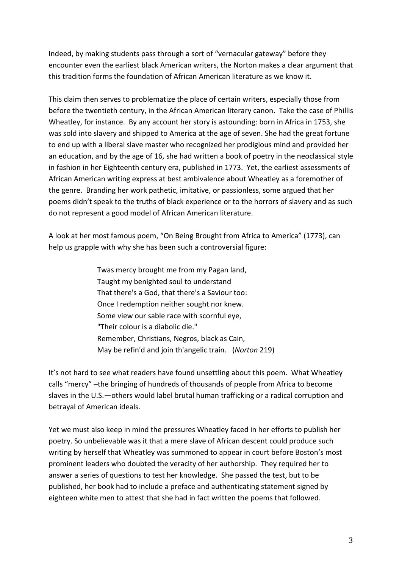Indeed, by making students pass through a sort of "vernacular gateway" before they encounter even the earliest black American writers, the Norton makes a clear argument that this tradition forms the foundation of African American literature as we know it.

This claim then serves to problematize the place of certain writers, especially those from before the twentieth century, in the African American literary canon. Take the case of Phillis Wheatley, for instance. By any account her story is astounding: born in Africa in 1753, she was sold into slavery and shipped to America at the age of seven. She had the great fortune to end up with a liberal slave master who recognized her prodigious mind and provided her an education, and by the age of 16, she had written a book of poetry in the neoclassical style in fashion in her Eighteenth century era, published in 1773. Yet, the earliest assessments of African American writing express at best ambivalence about Wheatley as a foremother of the genre. Branding her work pathetic, imitative, or passionless, some argued that her poems didn't speak to the truths of black experience or to the horrors of slavery and as such do not represent a good model of African American literature.

A look at her most famous poem, "On Being Brought from Africa to America" (1773), can help us grapple with why she has been such a controversial figure:

> Twas mercy brought me from my Pagan land, Taught my benighted soul to understand That there's a God, that there's a Saviour too: Once I redemption neither sought nor knew. Some view our sable race with scornful eye, "Their colour is a diabolic die." Remember, Christians, Negros, black as Cain, May be refin'd and join th'angelic train. (*Norton* 219)

It's not hard to see what readers have found unsettling about this poem. What Wheatley calls "mercy" –the bringing of hundreds of thousands of people from Africa to become slaves in the U.S.—others would label brutal human trafficking or a radical corruption and betrayal of American ideals.

Yet we must also keep in mind the pressures Wheatley faced in her efforts to publish her poetry. So unbelievable was it that a mere slave of African descent could produce such writing by herself that Wheatley was summoned to appear in court before Boston's most prominent leaders who doubted the veracity of her authorship. They required her to answer a series of questions to test her knowledge. She passed the test, but to be published, her book had to include a preface and authenticating statement signed by eighteen white men to attest that she had in fact written the poems that followed.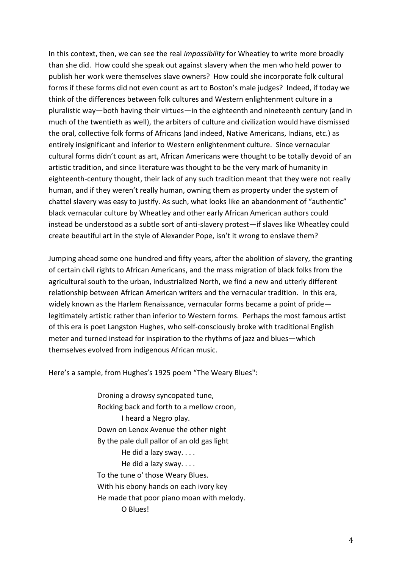In this context, then, we can see the real *impossibility* for Wheatley to write more broadly than she did. How could she speak out against slavery when the men who held power to publish her work were themselves slave owners? How could she incorporate folk cultural forms if these forms did not even count as art to Boston's male judges? Indeed, if today we think of the differences between folk cultures and Western enlightenment culture in a pluralistic way—both having their virtues—in the eighteenth and nineteenth century (and in much of the twentieth as well), the arbiters of culture and civilization would have dismissed the oral, collective folk forms of Africans (and indeed, Native Americans, Indians, etc.) as entirely insignificant and inferior to Western enlightenment culture. Since vernacular cultural forms didn't count as art, African Americans were thought to be totally devoid of an artistic tradition, and since literature was thought to be the very mark of humanity in eighteenth-century thought, their lack of any such tradition meant that they were not really human, and if they weren't really human, owning them as property under the system of chattel slavery was easy to justify. As such, what looks like an abandonment of "authentic" black vernacular culture by Wheatley and other early African American authors could instead be understood as a subtle sort of anti-slavery protest—if slaves like Wheatley could create beautiful art in the style of Alexander Pope, isn't it wrong to enslave them?

Jumping ahead some one hundred and fifty years, after the abolition of slavery, the granting of certain civil rights to African Americans, and the mass migration of black folks from the agricultural south to the urban, industrialized North, we find a new and utterly different relationship between African American writers and the vernacular tradition. In this era, widely known as the Harlem Renaissance, vernacular forms became a point of pride legitimately artistic rather than inferior to Western forms. Perhaps the most famous artist of this era is poet Langston Hughes, who self-consciously broke with traditional English meter and turned instead for inspiration to the rhythms of jazz and blues—which themselves evolved from indigenous African music.

Here's a sample, from Hughes's 1925 poem "The Weary Blues":

Droning a drowsy syncopated tune, Rocking back and forth to a mellow croon, I heard a Negro play. Down on Lenox Avenue the other night By the pale dull pallor of an old gas light He did a lazy sway. . . . He did a lazy sway.... To the tune o' those Weary Blues. With his ebony hands on each ivory key He made that poor piano moan with melody. O Blues!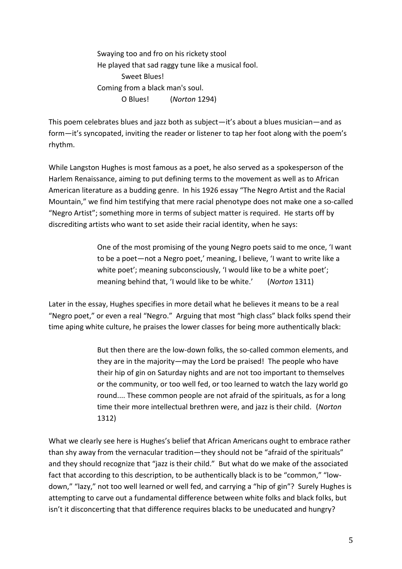Swaying too and fro on his rickety stool He played that sad raggy tune like a musical fool. Sweet Blues! Coming from a black man's soul. O Blues! (*Norton* 1294)

This poem celebrates blues and jazz both as subject—it's about a blues musician—and as form—it's syncopated, inviting the reader or listener to tap her foot along with the poem's rhythm.

While Langston Hughes is most famous as a poet, he also served as a spokesperson of the Harlem Renaissance, aiming to put defining terms to the movement as well as to African American literature as a budding genre. In his 1926 essay "The Negro Artist and the Racial Mountain," we find him testifying that mere racial phenotype does not make one a so-called "Negro Artist"; something more in terms of subject matter is required. He starts off by discrediting artists who want to set aside their racial identity, when he says:

> One of the most promising of the young Negro poets said to me once, 'I want to be a poet—not a Negro poet,' meaning, I believe, 'I want to write like a white poet'; meaning subconsciously, 'I would like to be a white poet'; meaning behind that, 'I would like to be white.' (*Norton* 1311)

Later in the essay, Hughes specifies in more detail what he believes it means to be a real "Negro poet," or even a real "Negro." Arguing that most "high class" black folks spend their time aping white culture, he praises the lower classes for being more authentically black:

> But then there are the low-down folks, the so-called common elements, and they are in the majority—may the Lord be praised! The people who have their hip of gin on Saturday nights and are not too important to themselves or the community, or too well fed, or too learned to watch the lazy world go round.... These common people are not afraid of the spirituals, as for a long time their more intellectual brethren were, and jazz is their child. (*Norton* 1312)

What we clearly see here is Hughes's belief that African Americans ought to embrace rather than shy away from the vernacular tradition—they should not be "afraid of the spirituals" and they should recognize that "jazz is their child." But what do we make of the associated fact that according to this description, to be authentically black is to be "common," "lowdown," "lazy," not too well learned or well fed, and carrying a "hip of gin"? Surely Hughes is attempting to carve out a fundamental difference between white folks and black folks, but isn't it disconcerting that that difference requires blacks to be uneducated and hungry?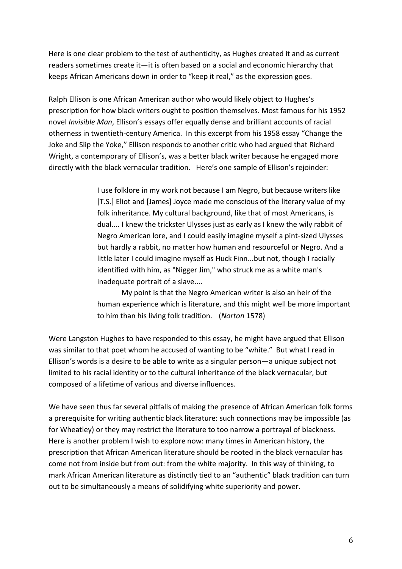Here is one clear problem to the test of authenticity, as Hughes created it and as current readers sometimes create it—it is often based on a social and economic hierarchy that keeps African Americans down in order to "keep it real," as the expression goes.

Ralph Ellison is one African American author who would likely object to Hughes's prescription for how black writers ought to position themselves. Most famous for his 1952 novel *Invisible Man*, Ellison's essays offer equally dense and brilliant accounts of racial otherness in twentieth-century America. In this excerpt from his 1958 essay "Change the Joke and Slip the Yoke," Ellison responds to another critic who had argued that Richard Wright, a contemporary of Ellison's, was a better black writer because he engaged more directly with the black vernacular tradition. Here's one sample of Ellison's rejoinder:

> I use folklore in my work not because I am Negro, but because writers like [T.S.] Eliot and [James] Joyce made me conscious of the literary value of my folk inheritance. My cultural background, like that of most Americans, is dual.... I knew the trickster Ulysses just as early as I knew the wily rabbit of Negro American lore, and I could easily imagine myself a pint-sized Ulysses but hardly a rabbit, no matter how human and resourceful or Negro. And a little later I could imagine myself as Huck Finn...but not, though I racially identified with him, as "Nigger Jim," who struck me as a white man's inadequate portrait of a slave....

My point is that the Negro American writer is also an heir of the human experience which is literature, and this might well be more important to him than his living folk tradition. (*Norton* 1578)

Were Langston Hughes to have responded to this essay, he might have argued that Ellison was similar to that poet whom he accused of wanting to be "white." But what I read in Ellison's words is a desire to be able to write as a singular person—a unique subject not limited to his racial identity or to the cultural inheritance of the black vernacular, but composed of a lifetime of various and diverse influences.

We have seen thus far several pitfalls of making the presence of African American folk forms a prerequisite for writing authentic black literature: such connections may be impossible (as for Wheatley) or they may restrict the literature to too narrow a portrayal of blackness. Here is another problem I wish to explore now: many times in American history, the prescription that African American literature should be rooted in the black vernacular has come not from inside but from out: from the white majority. In this way of thinking, to mark African American literature as distinctly tied to an "authentic" black tradition can turn out to be simultaneously a means of solidifying white superiority and power.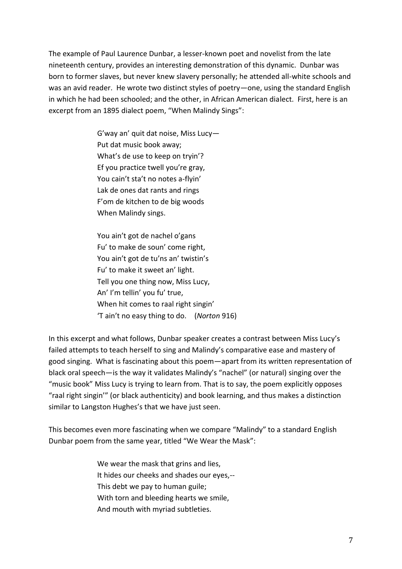The example of Paul Laurence Dunbar, a lesser-known poet and novelist from the late nineteenth century, provides an interesting demonstration of this dynamic. Dunbar was born to former slaves, but never knew slavery personally; he attended all-white schools and was an avid reader. He wrote two distinct styles of poetry—one, using the standard English in which he had been schooled; and the other, in African American dialect. First, here is an excerpt from an 1895 dialect poem, "When Malindy Sings":

> G'way an' quit dat noise, Miss Lucy— Put dat music book away; What's de use to keep on tryin'? Ef you practice twell you're gray, You cain't sta't no notes a-flyin' Lak de ones dat rants and rings F'om de kitchen to de big woods When Malindy sings.

You ain't got de nachel o'gans Fu' to make de soun' come right, You ain't got de tu'ns an' twistin's Fu' to make it sweet an' light. Tell you one thing now, Miss Lucy, An' I'm tellin' you fu' true, When hit comes to raal right singin' 'T ain't no easy thing to do. (*Norton* 916)

In this excerpt and what follows, Dunbar speaker creates a contrast between Miss Lucy's failed attempts to teach herself to sing and Malindy's comparative ease and mastery of good singing. What is fascinating about this poem—apart from its written representation of black oral speech—is the way it validates Malindy's "nachel" (or natural) singing over the "music book" Miss Lucy is trying to learn from. That is to say, the poem explicitly opposes "raal right singin'" (or black authenticity) and book learning, and thus makes a distinction similar to Langston Hughes's that we have just seen.

This becomes even more fascinating when we compare "Malindy" to a standard English Dunbar poem from the same year, titled "We Wear the Mask":

> We wear the mask that grins and lies, It hides our cheeks and shades our eyes,-- This debt we pay to human guile; With torn and bleeding hearts we smile, And mouth with myriad subtleties.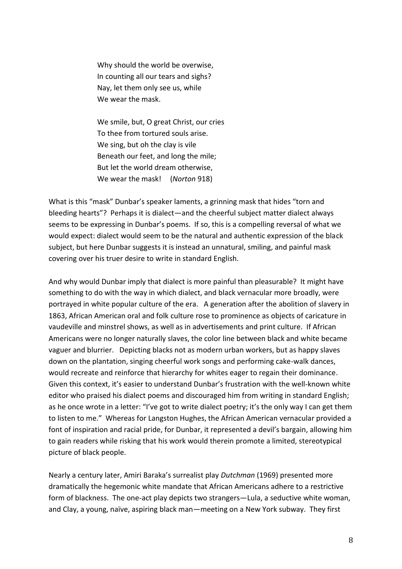Why should the world be overwise, In counting all our tears and sighs? Nay, let them only see us, while We wear the mask.

We smile, but, O great Christ, our cries To thee from tortured souls arise. We sing, but oh the clay is vile Beneath our feet, and long the mile; But let the world dream otherwise, We wear the mask! (*Norton* 918)

What is this "mask" Dunbar's speaker laments, a grinning mask that hides "torn and bleeding hearts"? Perhaps it is dialect—and the cheerful subject matter dialect always seems to be expressing in Dunbar's poems. If so, this is a compelling reversal of what we would expect: dialect would seem to be the natural and authentic expression of the black subject, but here Dunbar suggests it is instead an unnatural, smiling, and painful mask covering over his truer desire to write in standard English.

And why would Dunbar imply that dialect is more painful than pleasurable? It might have something to do with the way in which dialect, and black vernacular more broadly, were portrayed in white popular culture of the era. A generation after the abolition of slavery in 1863, African American oral and folk culture rose to prominence as objects of caricature in vaudeville and minstrel shows, as well as in advertisements and print culture. If African Americans were no longer naturally slaves, the color line between black and white became vaguer and blurrier. Depicting blacks not as modern urban workers, but as happy slaves down on the plantation, singing cheerful work songs and performing cake-walk dances, would recreate and reinforce that hierarchy for whites eager to regain their dominance. Given this context, it's easier to understand Dunbar's frustration with the well-known white editor who praised his dialect poems and discouraged him from writing in standard English; as he once wrote in a letter: "I've got to write dialect poetry; it's the only way I can get them to listen to me." Whereas for Langston Hughes, the African American vernacular provided a font of inspiration and racial pride, for Dunbar, it represented a devil's bargain, allowing him to gain readers while risking that his work would therein promote a limited, stereotypical picture of black people.

Nearly a century later, Amiri Baraka's surrealist play *Dutchman* (1969) presented more dramatically the hegemonic white mandate that African Americans adhere to a restrictive form of blackness. The one-act play depicts two strangers—Lula, a seductive white woman, and Clay, a young, naïve, aspiring black man—meeting on a New York subway. They first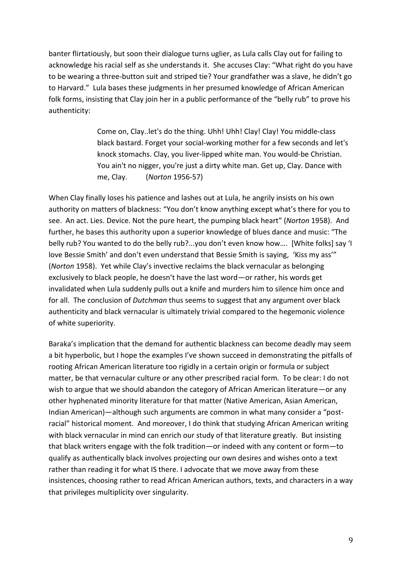banter flirtatiously, but soon their dialogue turns uglier, as Lula calls Clay out for failing to acknowledge his racial self as she understands it. She accuses Clay: "What right do you have to be wearing a three-button suit and striped tie? Your grandfather was a slave, he didn't go to Harvard." Lula bases these judgments in her presumed knowledge of African American folk forms, insisting that Clay join her in a public performance of the "belly rub" to prove his authenticity:

> Come on, Clay..let's do the thing. Uhh! Uhh! Clay! Clay! You middle‐class black bastard. Forget your social‐working mother for a few seconds and let's knock stomachs. Clay, you liver‐lipped white man. You would‐be Christian. You ain't no nigger, you're just a dirty white man. Get up, Clay. Dance with me, Clay. (*Norton* 1956-57)

When Clay finally loses his patience and lashes out at Lula, he angrily insists on his own authority on matters of blackness: "You don't know anything except what's there for you to see. An act. Lies. Device. Not the pure heart, the pumping black heart" (*Norton* 1958). And further, he bases this authority upon a superior knowledge of blues dance and music: "The belly rub? You wanted to do the belly rub?...you don't even know how…. [White folks] say 'I love Bessie Smith' and don't even understand that Bessie Smith is saying, 'Kiss my ass'" (*Norton* 1958). Yet while Clay's invective reclaims the black vernacular as belonging exclusively to black people, he doesn't have the last word—or rather, his words get invalidated when Lula suddenly pulls out a knife and murders him to silence him once and for all. The conclusion of *Dutchman* thus seems to suggest that any argument over black authenticity and black vernacular is ultimately trivial compared to the hegemonic violence of white superiority.

Baraka's implication that the demand for authentic blackness can become deadly may seem a bit hyperbolic, but I hope the examples I've shown succeed in demonstrating the pitfalls of rooting African American literature too rigidly in a certain origin or formula or subject matter, be that vernacular culture or any other prescribed racial form. To be clear: I do not wish to argue that we should abandon the category of African American literature—or any other hyphenated minority literature for that matter (Native American, Asian American, Indian American)—although such arguments are common in what many consider a "postracial" historical moment. And moreover, I do think that studying African American writing with black vernacular in mind can enrich our study of that literature greatly. But insisting that black writers engage with the folk tradition—or indeed with any content or form—to qualify as authentically black involves projecting our own desires and wishes onto a text rather than reading it for what IS there. I advocate that we move away from these insistences, choosing rather to read African American authors, texts, and characters in a way that privileges multiplicity over singularity.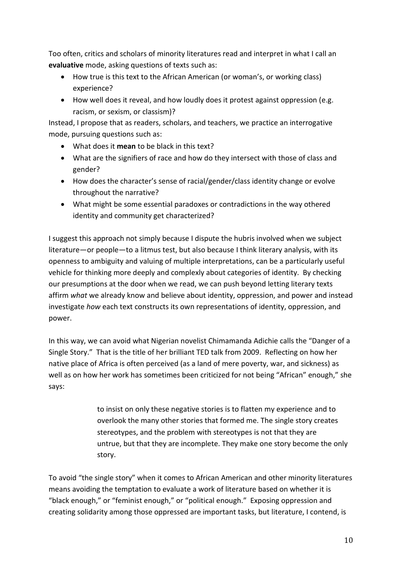Too often, critics and scholars of minority literatures read and interpret in what I call an **evaluative** mode, asking questions of texts such as:

- How true is this text to the African American (or woman's, or working class) experience?
- How well does it reveal, and how loudly does it protest against oppression (e.g. racism, or sexism, or classism)?

Instead, I propose that as readers, scholars, and teachers, we practice an interrogative mode, pursuing questions such as:

- What does it **mean** to be black in this text?
- What are the signifiers of race and how do they intersect with those of class and gender?
- How does the character's sense of racial/gender/class identity change or evolve throughout the narrative?
- What might be some essential paradoxes or contradictions in the way othered identity and community get characterized?

I suggest this approach not simply because I dispute the hubris involved when we subject literature—or people—to a litmus test, but also because I think literary analysis, with its openness to ambiguity and valuing of multiple interpretations, can be a particularly useful vehicle for thinking more deeply and complexly about categories of identity. By checking our presumptions at the door when we read, we can push beyond letting literary texts affirm *what* we already know and believe about identity, oppression, and power and instead investigate *how* each text constructs its own representations of identity, oppression, and power.

In this way, we can avoid what Nigerian novelist Chimamanda Adichie calls the "Danger of a Single Story." That is the title of her brilliant TED talk from 2009. Reflecting on how her native place of Africa is often perceived (as a land of mere poverty, war, and sickness) as well as on how her work has sometimes been criticized for not being "African" enough," she says:

> to insist on only these negative stories is to flatten my experience and to overlook the many other stories that formed me. The single story creates stereotypes, and the problem with stereotypes is not that they are untrue, but that they are incomplete. They make one story become the only story.

To avoid "the single story" when it comes to African American and other minority literatures means avoiding the temptation to evaluate a work of literature based on whether it is "black enough," or "feminist enough," or "political enough." Exposing oppression and creating solidarity among those oppressed are important tasks, but literature, I contend, is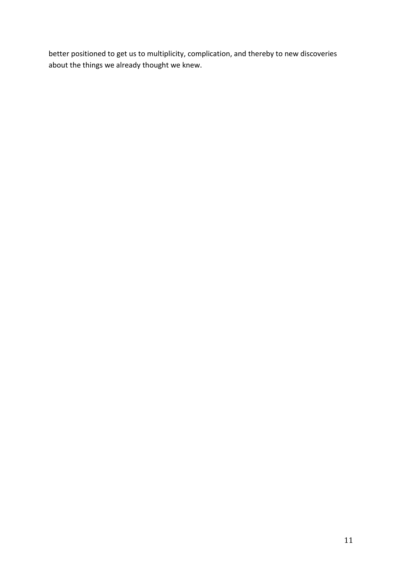better positioned to get us to multiplicity, complication, and thereby to new discoveries about the things we already thought we knew.